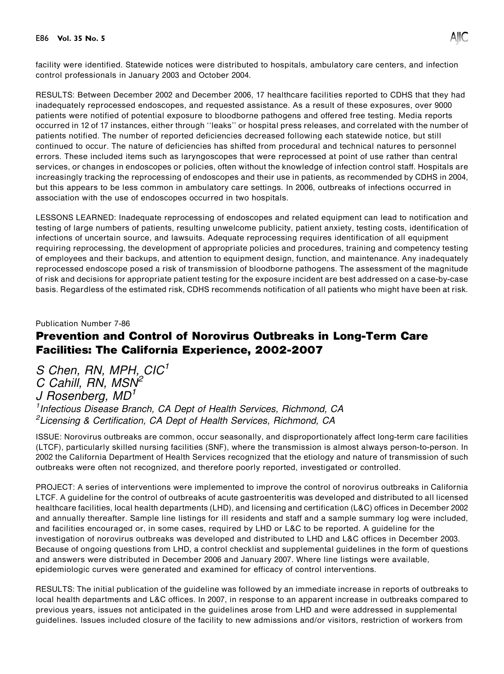

facility were identified. Statewide notices were distributed to hospitals, ambulatory care centers, and infection control professionals in January 2003 and October 2004.

RESULTS: Between December 2002 and December 2006, 17 healthcare facilities reported to CDHS that they had inadequately reprocessed endoscopes, and requested assistance. As a result of these exposures, over 9000 patients were notified of potential exposure to bloodborne pathogens and offered free testing. Media reports occurred in 12 of 17 instances, either through ''leaks'' or hospital press releases, and correlated with the number of patients notified. The number of reported deficiencies decreased following each statewide notice, but still continued to occur. The nature of deficiencies has shifted from procedural and technical natures to personnel errors. These included items such as laryngoscopes that were reprocessed at point of use rather than central services, or changes in endoscopes or policies, often without the knowledge of infection control staff. Hospitals are increasingly tracking the reprocessing of endoscopes and their use in patients, as recommended by CDHS in 2004, but this appears to be less common in ambulatory care settings. In 2006, outbreaks of infections occurred in association with the use of endoscopes occurred in two hospitals.

LESSONS LEARNED: Inadequate reprocessing of endoscopes and related equipment can lead to notification and testing of large numbers of patients, resulting unwelcome publicity, patient anxiety, testing costs, identification of infections of uncertain source, and lawsuits. Adequate reprocessing requires identification of all equipment requiring reprocessing, the development of appropriate policies and procedures, training and competency testing of employees and their backups, and attention to equipment design, function, and maintenance. Any inadequately reprocessed endoscope posed a risk of transmission of bloodborne pathogens. The assessment of the magnitude of risk and decisions for appropriate patient testing for the exposure incident are best addressed on a case-by-case basis. Regardless of the estimated risk, CDHS recommends notification of all patients who might have been at risk.

#### Publication Number 7-86

### Prevention and Control of Norovirus Outbreaks in Long-Term Care Facilities: The California Experience, 2002-2007

S Chen, RN, MPH, CIC<sup>1</sup> C Cahill, RN, MSN<sup>2</sup> J Rosenberg,  $MD<sup>1</sup>$ <sup>1</sup> Infectious Disease Branch, CA Dept of Health Services, Richmond, CA <sup>2</sup>Licensing & Certification, CA Dept of Health Services, Richmond, CA

ISSUE: Norovirus outbreaks are common, occur seasonally, and disproportionately affect long-term care facilities (LTCF), particularly skilled nursing facilities (SNF), where the transmission is almost always person-to-person. In 2002 the California Department of Health Services recognized that the etiology and nature of transmission of such outbreaks were often not recognized, and therefore poorly reported, investigated or controlled.

PROJECT: A series of interventions were implemented to improve the control of norovirus outbreaks in California LTCF. A guideline for the control of outbreaks of acute gastroenteritis was developed and distributed to all licensed healthcare facilities, local health departments (LHD), and licensing and certification (L&C) offices in December 2002 and annually thereafter. Sample line listings for ill residents and staff and a sample summary log were included, and facilities encouraged or, in some cases, required by LHD or L&C to be reported. A guideline for the investigation of norovirus outbreaks was developed and distributed to LHD and L&C offices in December 2003. Because of ongoing questions from LHD, a control checklist and supplemental guidelines in the form of questions and answers were distributed in December 2006 and January 2007. Where line listings were available, epidemiologic curves were generated and examined for efficacy of control interventions.

RESULTS: The initial publication of the guideline was followed by an immediate increase in reports of outbreaks to local health departments and L&C offices. In 2007, in response to an apparent increase in outbreaks compared to previous years, issues not anticipated in the guidelines arose from LHD and were addressed in supplemental guidelines. Issues included closure of the facility to new admissions and/or visitors, restriction of workers from